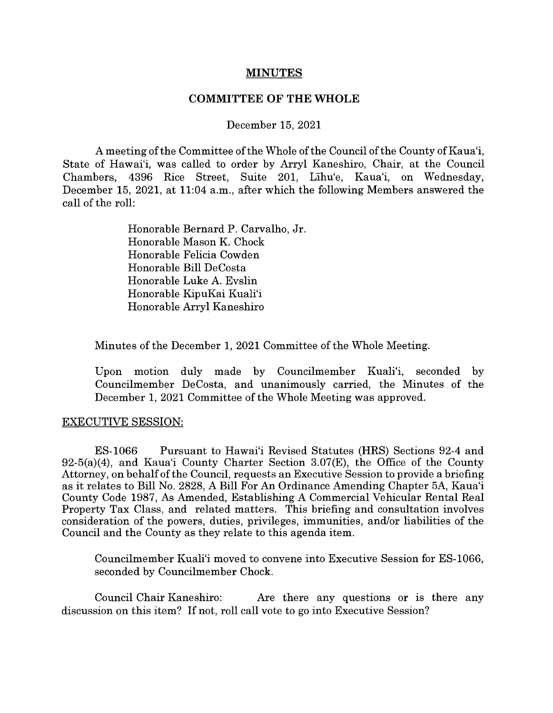## **MINUTES**

## **COMMITTEE OF THE WHOLE**

## December 15, 2021

A meeting of the Committee of the Whole of the Council of the County of Kaua'i, State of Hawai'i, was called to order by Arryl Kaneshiro, Chair, at the Council Chambers, 4396 Rice Street, Suite 201, Lihu'e, Kaua'i, on Wednesday, December 15, 2021, at 11:04 a.m., after which the following Members answered the call of the roll:

> Honorable Bernard P. Carvalho, Jr. Honorable Mason K. Chock Honorable Felicia Cowden Honorable Bill DeCosta Honorable Luke A. Evslin Honorable KipuKai Kuali'i Honorable Arryl Kaneshiro

Minutes of the December 1, 2021 Committee of the Whole Meeting.

Upon motion duly made by Councilmember Kuali'i, seconded by Councilmember DeCosta, and unanimously carried, the Minutes of the December 1, 2021 Committee of the Whole Meeting was approved.

## EXECUTIVE SESSION:

ES-1066 Pursuant to Hawai'i Revised Statutes (HRS) Sections 92-4 and  $92-5(a)(4)$ , and Kaua'i County Charter Section 3.07(E), the Office of the County Attorney, on behalf of the Council, requests an Executive Session to provide a briefing as it relates to Bill No. 2828, A Bill For An Ordinance Amending Chapter 5A, Kaua'i County Code 1987, As Amended, Establishing A Commercial Vehicular Rental Real Property Tax Class, and related matters. This briefing and consultation involves consideration of the powers, duties, privileges, immunities, and/or liabilities of the Council and the County as they relate to this agenda item.

Councilmember Kuali'i moved to convene into Executive Session for ES-1066, seconded by Councilmember Chock.

Council Chair Kaneshiro: Are there any questions or is there any discussion on this item? If not, roll call vote to go into Executive Session?